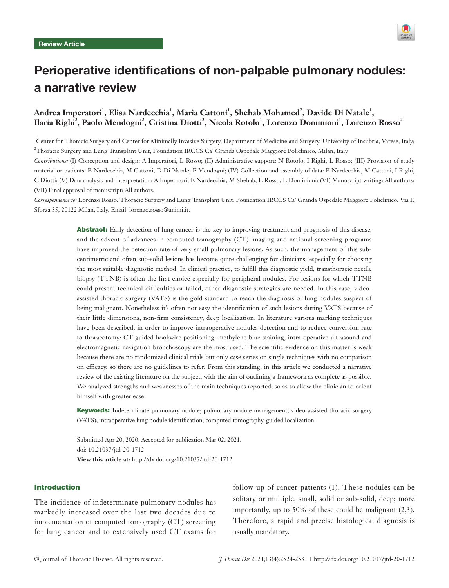

# Perioperative identifications of non-palpable pulmonary nodules: a narrative review

# Andrea Imperatori<sup>1</sup>, Elisa Nardecchia<sup>1</sup>, Maria Cattoni<sup>1</sup>, Shehab Mohamed<sup>2</sup>, Davide Di Natale<sup>1</sup>,  $\bf \emph{Ilaria Right}^2, \text{Paolo Mendogni}^2, \text{Cristina Diotti}^2, \text{Nicola Rotolo}^1, \text{Lorenzo Dominioni}^1, \text{Lorenzo Rosso}^2$

1 Center for Thoracic Surgery and Center for Minimally Invasive Surgery, Department of Medicine and Surgery, University of Insubria, Varese, Italy; 2 Thoracic Surgery and Lung Transplant Unit, Foundation IRCCS Ca' Granda Ospedale Maggiore Policlinico, Milan, Italy *Contributions:* (I) Conception and design: A Imperatori, L Rosso; (II) Administrative support: N Rotolo, I Righi, L Rosso; (III) Provision of study material or patients: E Nardecchia, M Cattoni, D Di Natale, P Mendogni; (IV) Collection and assembly of data: E Nardecchia, M Cattoni, I Righi, C Diotti; (V) Data analysis and interpretation: A Imperatori, E Nardecchia, M Shehab, L Rosso, L Dominioni; (VI) Manuscript writing: All authors; (VII) Final approval of manuscript: All authors.

*Correspondence to:* Lorenzo Rosso. Thoracic Surgery and Lung Transplant Unit, Foundation IRCCS Ca' Granda Ospedale Maggiore Policlinico, Via F. Sforza 35, 20122 Milan, Italy. Email: lorenzo.rosso@unimi.it.

> Abstract: Early detection of lung cancer is the key to improving treatment and prognosis of this disease, and the advent of advances in computed tomography (CT) imaging and national screening programs have improved the detection rate of very small pulmonary lesions. As such, the management of this subcentimetric and often sub-solid lesions has become quite challenging for clinicians, especially for choosing the most suitable diagnostic method. In clinical practice, to fulfill this diagnostic yield, transthoracic needle biopsy (TTNB) is often the first choice especially for peripheral nodules. For lesions for which TTNB could present technical difficulties or failed, other diagnostic strategies are needed. In this case, videoassisted thoracic surgery (VATS) is the gold standard to reach the diagnosis of lung nodules suspect of being malignant. Nonetheless it's often not easy the identification of such lesions during VATS because of their little dimensions, non-firm consistency, deep localization. In literature various marking techniques have been described, in order to improve intraoperative nodules detection and to reduce conversion rate to thoracotomy: CT-guided hookwire positioning, methylene blue staining, intra-operative ultrasound and electromagnetic navigation bronchoscopy are the most used. The scientific evidence on this matter is weak because there are no randomized clinical trials but only case series on single techniques with no comparison on efficacy, so there are no guidelines to refer. From this standing, in this article we conducted a narrative review of the existing literature on the subject, with the aim of outlining a framework as complete as possible. We analyzed strengths and weaknesses of the main techniques reported, so as to allow the clinician to orient himself with greater ease.

> Keywords: Indeterminate pulmonary nodule; pulmonary nodule management; video-assisted thoracic surgery (VATS); intraoperative lung nodule identification; computed tomography-guided localization

Submitted Apr 20, 2020. Accepted for publication Mar 02, 2021. doi: 10.21037/jtd-20-1712 **View this article at:** http://dx.doi.org/10.21037/jtd-20-1712

#### Introduction

The incidence of indeterminate pulmonary nodules has markedly increased over the last two decades due to implementation of computed tomography (CT) screening for lung cancer and to extensively used CT exams for

follow-up of cancer patients (1). These nodules can be solitary or multiple, small, solid or sub-solid, deep; more importantly, up to 50% of these could be malignant (2,3). Therefore, a rapid and precise histological diagnosis is usually mandatory.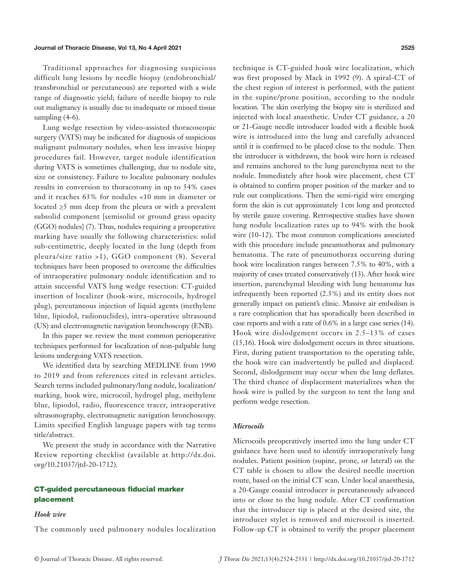#### Journal of Thoracic Disease, Vol 13, No 4 April 2021 2525

Traditional approaches for diagnosing suspicious difficult lung lesions by needle biopsy (endobronchial/ transbronchial or percutaneous) are reported with a wide range of diagnostic yield; failure of needle biopsy to rule out malignancy is usually due to inadequate or missed tissue sampling  $(4-6)$ .

Lung wedge resection by video-assisted thoracoscopic surgery (VATS) may be indicated for diagnosis of suspicious malignant pulmonary nodules, when less invasive biopsy procedures fail. However, target nodule identification during VATS is sometimes challenging, due to nodule site, size or consistency. Failure to localize pulmonary nodules results in conversion to thoracotomy in up to 54% cases and it reaches 63% for nodules <10 mm in diameter or located ≥5 mm deep from the pleura or with a prevalent subsolid component [semisolid or ground grass opacity (GGO) nodules] (7). Thus, nodules requiring a preoperative marking have usually the following characteristics: solid sub-centimetric, deeply located in the lung (depth from pleura/size ratio >1), GGO component (8). Several techniques have been proposed to overcome the difficulties of intraoperative pulmonary nodule identification and to attain successful VATS lung wedge resection: CT-guided insertion of localizer (hook-wire, microcoils, hydrogel plug), percutaneous injection of liquid agents (methylene blue, lipiodol, radionuclides), intra-operative ultrasound (US) and electromagnetic navigation bronchoscopy (ENB).

In this paper we review the most common perioperative techniques performed for localization of non-palpable lung lesions undergoing VATS resection.

We identified data by searching MEDLINE from 1990 to 2019 and from references cited in relevant articles. Search terms included pulmonary/lung nodule, localization/ marking, hook wire, microcoil, hydrogel plug, methylene blue, lipiodol, radio, fluorescence tracer, intraoperative ultrasonography, electromagnetic navigation bronchoscopy. Limits specified English language papers with tag terms title/abstract.

We present the study in accordance with the Narrative Review reporting checklist (available at [http://dx.doi.](http://dx.doi.org/10.21037/jtd-20-1712) [org/10.21037/jtd-20-1712\)](http://dx.doi.org/10.21037/jtd-20-1712).

# CT-guided percutaneous fiducial marker placement

# *Hook wire*

The commonly used pulmonary nodules localization

technique is CT-guided hook wire localization, which was first proposed by Mack in 1992 (9). A spiral-CT of the chest region of interest is performed, with the patient in the supine/prone position, according to the nodule location. The skin overlying the biopsy site is sterilized and injected with local anaesthetic. Under CT guidance, a 20 or 21-Gauge needle introducer loaded with a flexible hook wire is introduced into the lung and carefully advanced until it is confirmed to be placed close to the nodule. Then the introducer is withdrawn, the hook wire horn is released and remains anchored to the lung parenchyma next to the nodule. Immediately after hook wire placement, chest CT is obtained to confirm proper position of the marker and to rule out complications. Then the semi-rigid wire emerging form the skin is cut approximately 1cm long and protected by sterile gauze covering. Retrospective studies have shown lung nodule localization rates up to 94% with the hook wire (10-12). The most common complications associated with this procedure include pneumothorax and pulmonary hematoma. The rate of pneumothorax occurring during hook wire localization ranges between 7.5% to 40%, with a majority of cases treated conservatively (13). After hook wire insertion, parenchymal bleeding with lung hematoma has infrequently been reported (2.5%) and its entity does not generally impact on patient's clinic. Massive air embolism is a rare complication that has sporadically been described in case reports and with a rate of 0.6% in a large case series (14). Hook wire dislodgement occurs in 2.5–13% of cases (15,16). Hook wire dislodgement occurs in three situations. First, during patient transportation to the operating table, the hook wire can inadvertently be pulled and displaced. Second, dislodgement may occur when the lung deflates. The third chance of displacement materializes when the hook wire is pulled by the surgeon to tent the lung and perform wedge resection.

### *Microcoils*

Microcoils preoperatively inserted into the lung under CT guidance have been used to identify intraoperatively lung nodules. Patient position (supine, prone, or lateral) on the CT table is chosen to allow the desired needle insertion route, based on the initial CT scan. Under local anaesthesia, a 20-Gauge coaxial introducer is percutaneously advanced into or close to the lung nodule. After CT confirmation that the introducer tip is placed at the desired site, the introducer stylet is removed and microcoil is inserted. Follow-up CT is obtained to verify the proper placement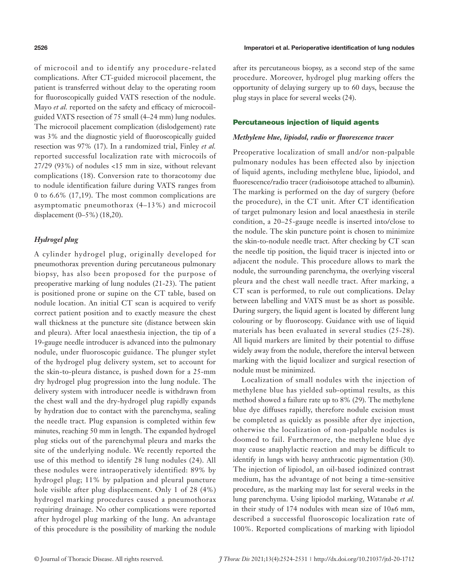of microcoil and to identify any procedure-related complications. After CT-guided microcoil placement, the patient is transferred without delay to the operating room for fluoroscopically guided VATS resection of the nodule. Mayo *et al.* reported on the safety and efficacy of microcoilguided VATS resection of 75 small (4–24 mm) lung nodules. The microcoil placement complication (dislodgement) rate was 3% and the diagnostic yield of fluoroscopically guided resection was 97% (17). In a randomized trial, Finley *et al.*  reported successful localization rate with microcoils of 27/29 (93%) of nodules <15 mm in size, without relevant complications (18). Conversion rate to thoracotomy due to nodule identification failure during VATS ranges from 0 to 6.6% (17,19). The most common complications are asymptomatic pneumothorax (4–13%) and microcoil displacement (0–5%) (18,20).

## *Hydrogel plug*

A cylinder hydrogel plug, originally developed for pneumothorax prevention during percutaneous pulmonary biopsy, has also been proposed for the purpose of preoperative marking of lung nodules (21-23). The patient is positioned prone or supine on the CT table, based on nodule location. An initial CT scan is acquired to verify correct patient position and to exactly measure the chest wall thickness at the puncture site (distance between skin and pleura). After local anaesthesia injection, the tip of a 19-gauge needle introducer is advanced into the pulmonary nodule, under fluoroscopic guidance. The plunger stylet of the hydrogel plug delivery system, set to account for the skin-to-pleura distance, is pushed down for a 25-mm dry hydrogel plug progression into the lung nodule. The delivery system with introducer needle is withdrawn from the chest wall and the dry-hydrogel plug rapidly expands by hydration due to contact with the parenchyma, sealing the needle tract. Plug expansion is completed within few minutes, reaching 50 mm in length. The expanded hydrogel plug sticks out of the parenchymal pleura and marks the site of the underlying nodule. We recently reported the use of this method to identify 28 lung nodules (24). All these nodules were intraoperatively identified: 89% by hydrogel plug; 11% by palpation and pleural puncture hole visible after plug displacement. Only 1 of 28 (4%) hydrogel marking procedures caused a pneumothorax requiring drainage. No other complications were reported after hydrogel plug marking of the lung. An advantage of this procedure is the possibility of marking the nodule

#### 2526 Imperatori et al. Perioperative identification of lung nodules

after its percutaneous biopsy, as a second step of the same procedure. Moreover, hydrogel plug marking offers the opportunity of delaying surgery up to 60 days, because the plug stays in place for several weeks (24).

#### Percutaneous injection of liquid agents

#### *Methylene blue, lipiodol, radio or fluorescence tracer*

Preoperative localization of small and/or non-palpable pulmonary nodules has been effected also by injection of liquid agents, including methylene blue, lipiodol, and fluorescence/radio tracer (radioisotope attached to albumin). The marking is performed on the day of surgery (before the procedure), in the CT unit. After CT identification of target pulmonary lesion and local anaesthesia in sterile condition, a 20–25-gauge needle is inserted into/close to the nodule. The skin puncture point is chosen to minimize the skin-to-nodule needle tract. After checking by CT scan the needle tip position, the liquid tracer is injected into or adjacent the nodule. This procedure allows to mark the nodule, the surrounding parenchyma, the overlying visceral pleura and the chest wall needle tract. After marking, a CT scan is performed, to rule out complications. Delay between labelling and VATS must be as short as possible. During surgery, the liquid agent is located by different lung colouring or by fluoroscopy. Guidance with use of liquid materials has been evaluated in several studies (25-28). All liquid markers are limited by their potential to diffuse widely away from the nodule, therefore the interval between marking with the liquid localizer and surgical resection of nodule must be minimized.

Localization of small nodules with the injection of methylene blue has yielded sub-optimal results, as this method showed a failure rate up to 8% (29). The methylene blue dye diffuses rapidly, therefore nodule excision must be completed as quickly as possible after dye injection, otherwise the localization of non-palpable nodules is doomed to fail. Furthermore, the methylene blue dye may cause anaphylactic reaction and may be difficult to identify in lungs with heavy anthracotic pigmentation (30). The injection of lipiodol, an oil-based iodinized contrast medium, has the advantage of not being a time-sensitive procedure, as the marking may last for several weeks in the lung parenchyma. Using lipiodol marking, Watanabe *et al.*  in their study of 174 nodules with mean size of 10±6 mm, described a successful fluoroscopic localization rate of 100%. Reported complications of marking with lipiodol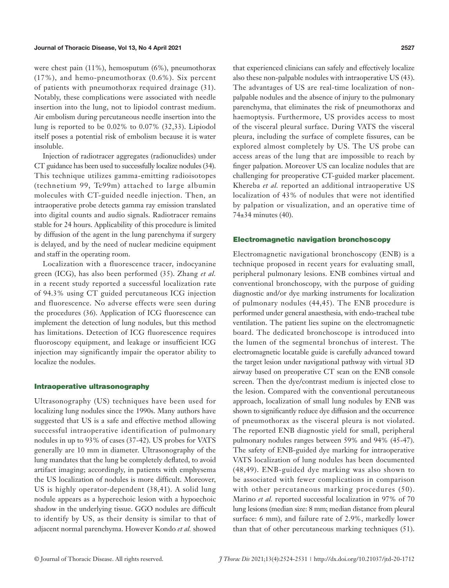were chest pain (11%), hemosputum (6%), pneumothorax (17%), and hemo-pneumothorax (0.6%). Six percent of patients with pneumothorax required drainage (31). Notably, these complications were associated with needle insertion into the lung, not to lipiodol contrast medium. Air embolism during percutaneous needle insertion into the lung is reported to be 0.02% to 0.07% (32,33). Lipiodol itself poses a potential risk of embolism because it is water insoluble.

Injection of radiotracer aggregates (radionuclides) under CT guidance has been used to successfully localize nodules (34). This technique utilizes gamma-emitting radioisotopes (technetium 99, Tc99m) attached to large albumin molecules with CT-guided needle injection. Then, an intraoperative probe detects gamma ray emission translated into digital counts and audio signals. Radiotracer remains stable for 24 hours. Applicability of this procedure is limited by diffusion of the agent in the lung parenchyma if surgery is delayed, and by the need of nuclear medicine equipment and staff in the operating room.

Localization with a fluorescence tracer, indocyanine green (ICG), has also been performed (35). Zhang *et al.*  in a recent study reported a successful localization rate of 94.3% using CT guided percutaneous ICG injection and fluorescence. No adverse effects were seen during the procedures (36). Application of ICG fluorescence can implement the detection of lung nodules, but this method has limitations. Detection of ICG fluorescence requires fluoroscopy equipment, and leakage or insufficient ICG injection may significantly impair the operator ability to localize the nodules.

#### Intraoperative ultrasonography

Ultrasonography (US) techniques have been used for localizing lung nodules since the 1990s. Many authors have suggested that US is a safe and effective method allowing successful intraoperative identification of pulmonary nodules in up to 93% of cases (37-42). US probes for VATS generally are 10 mm in diameter. Ultrasonography of the lung mandates that the lung be completely deflated, to avoid artifact imaging; accordingly, in patients with emphysema the US localization of nodules is more difficult. Moreover, US is highly operator-dependent (38,41). A solid lung nodule appears as a hyperechoic lesion with a hypoechoic shadow in the underlying tissue. GGO nodules are difficult to identify by US, as their density is similar to that of adjacent normal parenchyma. However Kondo *et al.* showed

that experienced clinicians can safely and effectively localize also these non-palpable nodules with intraoperative US (43). The advantages of US are real-time localization of nonpalpable nodules and the absence of injury to the pulmonary parenchyma, that eliminates the risk of pneumothorax and haemoptysis. Furthermore, US provides access to most of the visceral pleural surface. During VATS the visceral pleura, including the surface of complete fissures, can be explored almost completely by US. The US probe can access areas of the lung that are impossible to reach by finger palpation. Moreover US can localize nodules that are challenging for preoperative CT-guided marker placement. Khereba *et al.* reported an additional intraoperative US localization of 43% of nodules that were not identified by palpation or visualization, and an operative time of 74±34 minutes (40).

### Electromagnetic navigation bronchoscopy

Electromagnetic navigational bronchoscopy (ENB) is a technique proposed in recent years for evaluating small, peripheral pulmonary lesions. ENB combines virtual and conventional bronchoscopy, with the purpose of guiding diagnostic and/or dye marking instruments for localization of pulmonary nodules (44,45). The ENB procedure is performed under general anaesthesia, with endo-tracheal tube ventilation. The patient lies supine on the electromagnetic board. The dedicated bronchoscope is introduced into the lumen of the segmental bronchus of interest. The electromagnetic locatable guide is carefully advanced toward the target lesion under navigational pathway with virtual 3D airway based on preoperative CT scan on the ENB console screen. Then the dye/contrast medium is injected close to the lesion. Compared with the conventional percutaneous approach, localization of small lung nodules by ENB was shown to significantly reduce dye diffusion and the occurrence of pneumothorax as the visceral pleura is not violated. The reported ENB diagnostic yield for small, peripheral pulmonary nodules ranges between 59% and 94% (45-47). The safety of ENB-guided dye marking for intraoperative VATS localization of lung nodules has been documented (48,49). ENB-guided dye marking was also shown to be associated with fewer complications in comparison with other percutaneous marking procedures (50). Marino *et al.* reported successful localization in 97% of 70 lung lesions (median size: 8 mm; median distance from pleural surface: 6 mm), and failure rate of 2.9%, markedly lower than that of other percutaneous marking techniques (51).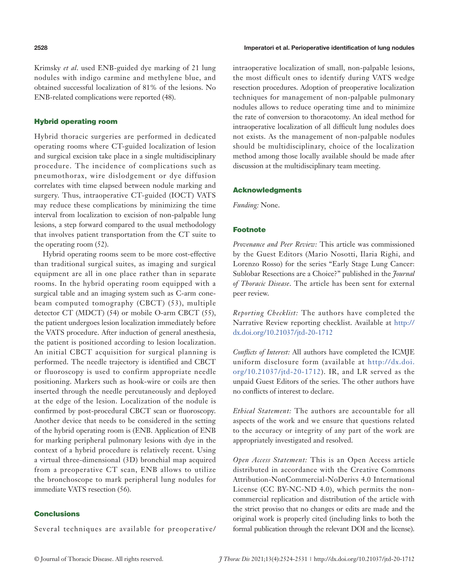Krimsky *et al*. used ENB-guided dye marking of 21 lung nodules with indigo carmine and methylene blue, and obtained successful localization of 81% of the lesions. No ENB-related complications were reported (48).

### Hybrid operating room

Hybrid thoracic surgeries are performed in dedicated operating rooms where CT-guided localization of lesion and surgical excision take place in a single multidisciplinary procedure. The incidence of complications such as pneumothorax, wire dislodgement or dye diffusion correlates with time elapsed between nodule marking and surgery. Thus, intraoperative CT-guided (IOCT) VATS may reduce these complications by minimizing the time interval from localization to excision of non-palpable lung lesions, a step forward compared to the usual methodology that involves patient transportation from the CT suite to the operating room (52).

Hybrid operating rooms seem to be more cost-effective than traditional surgical suites, as imaging and surgical equipment are all in one place rather than in separate rooms. In the hybrid operating room equipped with a surgical table and an imaging system such as C-arm conebeam computed tomography (CBCT) (53), multiple detector CT (MDCT) (54) or mobile O-arm CBCT (55), the patient undergoes lesion localization immediately before the VATS procedure. After induction of general anesthesia, the patient is positioned according to lesion localization. An initial CBCT acquisition for surgical planning is performed. The needle trajectory is identified and CBCT or fluoroscopy is used to confirm appropriate needle positioning. Markers such as hook-wire or coils are then inserted through the needle percutaneously and deployed at the edge of the lesion. Localization of the nodule is confirmed by post-procedural CBCT scan or fluoroscopy. Another device that needs to be considered in the setting of the hybrid operating room is (ENB. Application of ENB for marking peripheral pulmonary lesions with dye in the context of a hybrid procedure is relatively recent. Using a virtual three-dimensional (3D) bronchial map acquired from a preoperative CT scan, ENB allows to utilize the bronchoscope to mark peripheral lung nodules for immediate VATS resection (56).

#### Conclusions

Several techniques are available for preoperative/

intraoperative localization of small, non-palpable lesions, the most difficult ones to identify during VATS wedge resection procedures. Adoption of preoperative localization techniques for management of non-palpable pulmonary nodules allows to reduce operating time and to minimize the rate of conversion to thoracotomy. An ideal method for intraoperative localization of all difficult lung nodules does not exists. As the management of non-palpable nodules should be multidisciplinary, choice of the localization method among those locally available should be made after discussion at the multidisciplinary team meeting.

#### Acknowledgments

*Funding:* None.

#### Footnote

*Provenance and Peer Review:* This article was commissioned by the Guest Editors (Mario Nosotti, Ilaria Righi, and Lorenzo Rosso) for the series "Early Stage Lung Cancer: Sublobar Resections are a Choice?" published in the *Journal of Thoracic Disease*. The article has been sent for external peer review.

*Reporting Checklist:* The authors have completed the Narrative Review reporting checklist. Available at [http://](http://dx.doi.org/10.21037/jtd-20-1712 ) [dx.doi.org/10.21037/jtd-20-1712](http://dx.doi.org/10.21037/jtd-20-1712 ) 

*Conflicts of Interest:* All authors have completed the ICMJE uniform disclosure form (available at [http://dx.doi.](http://dx.doi.org/10.21037/jtd-20-1712) [org/10.21037/jtd-20-1712\)](http://dx.doi.org/10.21037/jtd-20-1712). IR, and LR served as the unpaid Guest Editors of the series. The other authors have no conflicts of interest to declare.

*Ethical Statement:* The authors are accountable for all aspects of the work and we ensure that questions related to the accuracy or integrity of any part of the work are appropriately investigated and resolved.

*Open Access Statement:* This is an Open Access article distributed in accordance with the Creative Commons Attribution-NonCommercial-NoDerivs 4.0 International License (CC BY-NC-ND 4.0), which permits the noncommercial replication and distribution of the article with the strict proviso that no changes or edits are made and the original work is properly cited (including links to both the formal publication through the relevant DOI and the license).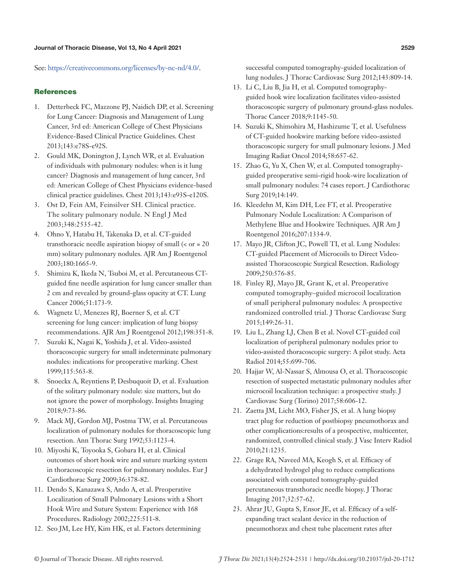See: [https://creativecommons.org/licenses/by-nc-nd/4.0/.](https://creativecommons.org/licenses/by-nc-nd/4.0/)

# **References**

- 1. Detterbeck FC, Mazzone PJ, Naidich DP, et al. Screening for Lung Cancer: Diagnosis and Management of Lung Cancer, 3rd ed: American College of Chest Physicians Evidence-Based Clinical Practice Guidelines. Chest 2013;143:e78S-e92S.
- 2. Gould MK, Donington J, Lynch WR, et al. Evaluation of individuals with pulmonary nodules: when is it lung cancer? Diagnosis and management of lung cancer, 3rd ed: American College of Chest Physicians evidence-based clinical practice guidelines. Chest 2013;143:e93S-e120S.
- 3. Ost D, Fein AM, Feinsilver SH. Clinical practice. The solitary pulmonary nodule. N Engl J Med 2003;348:2535-42.
- 4. Ohno Y, Hatabu H, Takenaka D, et al. CT-guided transthoracic needle aspiration biopsy of small (< or = 20 mm) solitary pulmonary nodules. AJR Am J Roentgenol 2003;180:1665-9.
- 5. Shimizu K, Ikeda N, Tsuboi M, et al. Percutaneous CTguided fine needle aspiration for lung cancer smaller than 2 cm and revealed by ground-glass opacity at CT. Lung Cancer 2006;51:173-9.
- 6. Wagnetz U, Menezes RJ, Boerner S, et al. CT screening for lung cancer: implication of lung biopsy recommendations. AJR Am J Roentgenol 2012;198:351-8.
- 7. Suzuki K, Nagai K, Yoshida J, et al. Video-assisted thoracoscopic surgery for small indeterminate pulmonary nodules: indications for preoperative marking. Chest 1999;115:563-8.
- 8. Snoeckx A, Reyntiens P, Desbuquoit D, et al. Evaluation of the solitary pulmonary nodule: size matters, but do not ignore the power of morphology. Insights Imaging 2018;9:73-86.
- 9. Mack MJ, Gordon MJ, Postma TW, et al. Percutaneous localization of pulmonary nodules for thoracoscopic lung resection. Ann Thorac Surg 1992;53:1123-4.
- 10. Miyoshi K, Toyooka S, Gobara H, et al. Clinical outcomes of short hook wire and suture marking system in thoracoscopic resection for pulmonary nodules. Eur J Cardiothorac Surg 2009;36:378-82.
- 11. Dendo S, Kanazawa S, Ando A, et al. Preoperative Localization of Small Pulmonary Lesions with a Short Hook Wire and Suture System: Experience with 168 Procedures. Radiology 2002;225:511-8.
- 12. Seo JM, Lee HY, Kim HK, et al. Factors determining

successful computed tomography-guided localization of lung nodules. J Thorac Cardiovasc Surg 2012;143:809-14.

- 13. Li C, Liu B, Jia H, et al. Computed tomographyguided hook wire localization facilitates video-assisted thoracoscopic surgery of pulmonary ground-glass nodules. Thorac Cancer 2018;9:1145-50.
- 14. Suzuki K, Shimohira M, Hashizume T, et al. Usefulness of CT-guided hookwire marking before video-assisted thoracoscopic surgery for small pulmonary lesions. J Med Imaging Radiat Oncol 2014;58:657-62.
- 15. Zhao G, Yu X, Chen W, et al. Computed tomographyguided preoperative semi-rigid hook-wire localization of small pulmonary nodules: 74 cases report. J Cardiothorac Surg 2019;14:149.
- 16. Kleedehn M, Kim DH, Lee FT, et al. Preoperative Pulmonary Nodule Localization: A Comparison of Methylene Blue and Hookwire Techniques. AJR Am J Roentgenol 2016;207:1334-9.
- 17. Mayo JR, Clifton JC, Powell TI, et al. Lung Nodules: CT-guided Placement of Microcoils to Direct Videoassisted Thoracoscopic Surgical Resection. Radiology 2009;250:576-85.
- 18. Finley RJ, Mayo JR, Grant K, et al. Preoperative computed tomography–guided microcoil localization of small peripheral pulmonary nodules: A prospective randomized controlled trial. J Thorac Cardiovasc Surg 2015;149:26-31.
- 19. Liu L, Zhang LJ, Chen B et al. Novel CT‐guided coil localization of peripheral pulmonary nodules prior to video‐assisted thoracoscopic surgery: A pilot study. Acta Radiol 2014;55:699-706.
- 20. Hajjar W, Al-Nassar S, Almousa O, et al. Thoracoscopic resection of suspected metastatic pulmonary nodules after microcoil localization technique: a prospective study. J Cardiovasc Surg (Torino) 2017;58:606-12.
- 21. Zaetta JM, Licht MO, Fisher JS, et al. A lung biopsy tract plug for reduction of postbiopsy pneumothorax and other complications:results of a prospective, multicenter, randomized, controlled clinical study. J Vasc Interv Radiol 2010;21:1235.
- 22. Grage RA, Naveed MA, Keogh S, et al. Efficacy of a dehydrated hydrogel plug to reduce complications associated with computed tomography-guided percutaneous transthoracic needle biopsy. J Thorac Imaging 2017;32:57-62.
- 23. Ahrar JU, Gupta S, Ensor JE, et al. Efficacy of a selfexpanding tract sealant device in the reduction of pneumothorax and chest tube placement rates after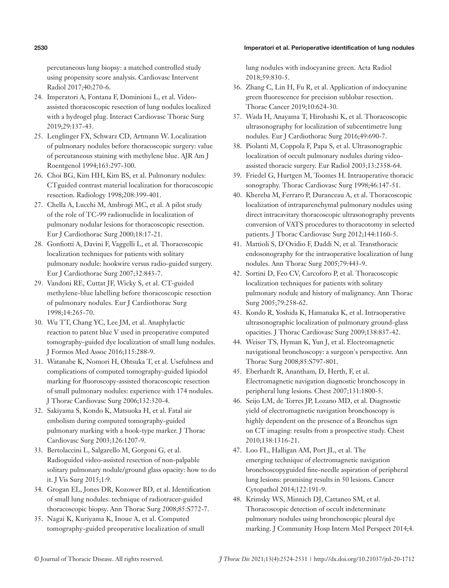#### 2530 Imperatori et al. Perioperative identification of lung nodules

percutaneous lung biopsy: a matched controlled study using propensity score analysis. Cardiovasc Intervent Radiol 2017;40:270-6.

- 24. Imperatori A, Fontana F, Dominioni L, et al. Videoassisted thoracoscopic resection of lung nodules localized with a hydrogel plug. Interact Cardiovasc Thorac Surg 2019;29:137-43.
- 25. Lenglinger FX, Schwarz CD, Artmann W. Localization of pulmonary nodules before thoracoscopic surgery: value of percutaneous staining with methylene blue. AJR Am J Roentgenol 1994;163:297-300.
- 26. Choi BG, Kim HH, Kim BS, et al. Pulmonary nodules: CTguided contrast material localization for thoracoscopic resection. Radiology 1998;208:399-401.
- 27. Chella A, Lucchi M, Ambrogi MC, et al. A pilot study of the role of TC-99 radionuclide in localization of pulmonary nodular lesions for thoracoscopic resection. Eur J Cardiothorac Surg 2000;18:17-21.
- 28. Gonfiotti A, Davini F, Vaggelli L, et al. Thoracoscopic localization techniques for patients with solitary pulmonary nodule: hookwire versus radio-guided surgery. Eur J Cardiothorac Surg 2007;32:843-7.
- 29. Vandoni RE, Cuttat JF, Wicky S, et al. CT-guided methylene-blue labelling before thoracoscopic resection of pulmonary nodules. Eur J Cardiothorac Surg 1998;14:265-70.
- 30. Wu TT, Chang YC, Lee JM, et al. Anaphylactic reaction to patent blue V used in preoperative computed tomography-guided dye localization of small lung nodules. J Formos Med Assoc 2016;115:288-9.
- 31. Watanabe K, Nomori H, Ohtsuka T, et al. Usefulness and complications of computed tomography-guided lipiodol marking for fluoroscopy-assisted thoracoscopic resection of small pulmonary nodules: experience with 174 nodules. J Thorac Cardiovasc Surg 2006;132:320-4.
- 32. Sakiyama S, Kondo K, Matsuoka H, et al. Fatal air embolism during computed tomography-guided pulmonary marking with a hook-type marker. J Thorac Cardiovasc Surg 2003;126:1207-9.
- 33. Bertolaccini L, Salgarello M, Gorgoni G, et al. Radioguided video-assisted resection of non-palpable solitary pulmonary nodule/ground glass opacity: how to do it. J Vis Surg 2015;1:9.
- 34. Grogan EL, Jones DR, Kozower BD, et al. Identification of small lung nodules: technique of radiotracer-guided thoracoscopic biopsy. Ann Thorac Surg 2008;85:S772-7.
- 35. Nagai K, Kuriyama K, Inoue A, et al. Computed tomography-guided preoperative localization of small

lung nodules with indocyanine green. Acta Radiol 2018;59:830-5.

- 36. Zhang C, Lin H, Fu R, et al. Application of indocyanine green fluorescence for precision sublobar resection. Thorac Cancer 2019;10:624-30.
- 37. Wada H, Anayama T, Hirohashi K, et al. Thoracoscopic ultrasonography for localization of subcentimetre lung nodules. Eur J Cardiothorac Surg 2016;49:690-7.
- 38. Piolanti M, Coppola F, Papa S, et al. Ultrasonographic localization of occult pulmonary nodules during videoassisted thoracic surgery. Eur Radiol 2003;13:2358-64.
- 39. Friedel G, Hurtgen M, Toomes H. Intraoperative thoracic sonography. Thorac Cardiovasc Surg 1998;46:147-51.
- 40. Khereba M, Ferraro P, Duranceau A, et al. Thoracoscopic localization of intraparenchymal pulmonary nodules using direct intracavitary thoracoscopic ultrasonography prevents conversion of VATS procedures to thoracotomy in selected patients. J Thorac Cardiovasc Surg 2012;144:1160-5.
- 41. Mattioli S, D'Ovidio F, Daddi N, et al. Transthoracic endosonography for the intraoperative localization of lung nodules. Ann Thorac Surg 2005;79:443-9.
- 42. Sortini D, Feo CV, Carcoforo P, et al. Thoracoscopic localization techniques for patients with solitary pulmonary nodule and history of malignancy. Ann Thorac Surg 2005;79:258-62.
- 43. Kondo R, Yoshida K, Hamanaka K, et al. Intraoperative ultrasonographic localization of pulmonary ground-glass opacities. J Thorac Cardiovasc Surg 2009;138:837-42.
- 44. Weiser TS, Hyman K, Yun J, et al. Electromagnetic navigational bronchoscopy: a surgeon's perspective. Ann Thorac Surg 2008;85:S797-801.
- 45. Eberhardt R, Anantham, D, Herth, F, et al. Electromagnetic navigation diagnostic bronchoscopy in peripheral lung lesions. Chest 2007;131:1800-5.
- 46. Seijo LM, de Torres JP, Lozano MD, et al. Diagnostic yield of electromagnetic navigation bronchoscopy is highly dependent on the presence of a Bronchus sign on CT imaging: results from a prospective study. Chest 2010;138:1316-21.
- 47. Loo FL, Halligan AM, Port JL, et al. The emerging technique of electromagnetic navigation bronchoscopyguided fine-needle aspiration of peripheral lung lesions: promising results in 50 lesions. Cancer Cytopathol 2014;122:191-9.
- 48. Krimsky WS, Minnich DJ, Cattaneo SM, et al. Thoracoscopic detection of occult indeterminate pulmonary nodules using bronchoscopic pleural dye marking. J Community Hosp Intern Med Perspect 2014;4.